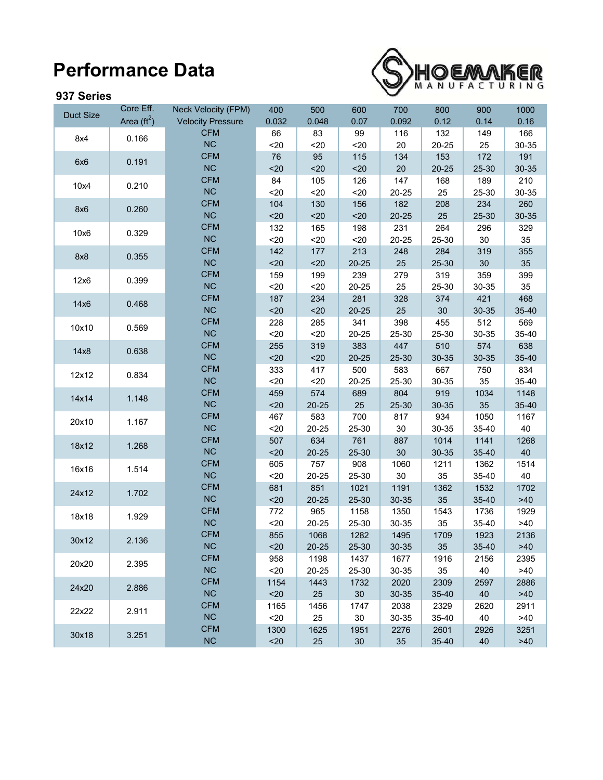## **Performance Data**



## **937 Series**

| Duct Size | Core Eff.            | <b>Neck Velocity (FPM)</b> | 400         | 500           | 600           | 700           | 800        | 900           | 1000          |
|-----------|----------------------|----------------------------|-------------|---------------|---------------|---------------|------------|---------------|---------------|
|           | Area $(\text{ft}^2)$ | <b>Velocity Pressure</b>   | 0.032       | 0.048         | 0.07          | 0.092         | 0.12       | 0.14          | 0.16          |
| 8x4       | 0.166                | <b>CFM</b>                 | 66          | 83            | 99            | 116           | 132        | 149           | 166           |
|           |                      | NC                         | $20$        | $20$          | $20$          | 20            | 20-25      | 25            | 30-35         |
| 6x6       | 0.191                | <b>CFM</b>                 | 76          | 95            | 115           | 134           | 153        | 172           | 191           |
|           |                      | NC                         | $20$        | $20$          | $20$          | 20            | $20 - 25$  | 25-30         | 30-35         |
| 10x4      | 0.210                | <b>CFM</b>                 | 84          | 105           | 126           | 147           | 168        | 189           | 210           |
|           |                      | NC                         | $20$        | $20$          | $20$          | 20-25         | 25         | 25-30         | 30-35         |
| 8x6       | 0.260                | <b>CFM</b>                 | 104         | 130           | 156           | 182           | 208        | 234           | 260           |
|           |                      | NC                         | $20$        | $20$          | $20$          | $20 - 25$     | 25         | 25-30         | 30-35         |
| 10x6      | 0.329                | <b>CFM</b>                 | 132         | 165           | 198           | 231           | 264        | 296           | 329           |
|           |                      | NC                         | $20$        | $20$          | $20$          | $20 - 25$     | 25-30      | 30            | 35            |
| 8x8       | 0.355                | <b>CFM</b>                 | 142         | 177           | 213           | 248           | 284        | 319           | 355           |
|           |                      | NC                         | $20$        | $20$          | $20 - 25$     | 25            | 25-30      | 30            | 35            |
| 12x6      | 0.399                | <b>CFM</b>                 | 159         | 199           | 239           | 279           | 319        | 359           | 399           |
|           |                      | NC                         | $20$        | $20$          | $20 - 25$     | 25            | 25-30      | 30-35         | 35            |
| 14x6      | 0.468                | <b>CFM</b>                 | 187         | 234           | 281           | 328           | 374        | 421           | 468           |
|           |                      | NC                         | $20$        | $20$          | $20 - 25$     | 25            | 30         | 30-35         | 35-40         |
| 10x10     | 0.569                | <b>CFM</b>                 | 228         | 285           | 341           | 398           | 455        | 512           | 569           |
|           |                      | NC                         | $20$        | $20$          | $20 - 25$     | 25-30         | 25-30      | 30-35         | 35-40         |
| 14x8      | 0.638                | <b>CFM</b>                 | 255         | 319           | 383           | 447           | 510        | 574           | 638           |
|           |                      | NC                         | $20$        | $20$          | $20 - 25$     | 25-30         | 30-35      | 30-35         | 35-40         |
| 12x12     | 0.834                | <b>CFM</b>                 | 333         | 417           | 500           | 583           | 667        | 750           | 834           |
|           |                      | NC                         | $20$        | $20$          | $20 - 25$     | 25-30         | 30-35      | 35            | 35-40         |
| 14x14     | 1.148                | <b>CFM</b>                 | 459         | 574           | 689           | 804           | 919        | 1034          | 1148          |
|           |                      | NC                         | $20$        | $20 - 25$     | 25            | 25-30         | 30-35      | 35            | 35-40         |
| 20x10     | 1.167                | <b>CFM</b>                 | 467         | 583           | 700           | 817           | 934        | 1050          | 1167          |
|           |                      | NC                         | $20$        | 20-25         | 25-30         | $30\,$        | 30-35      | 35-40         | 40            |
| 18x12     | 1.268                | <b>CFM</b>                 | 507         | 634           | 761           | 887           | 1014       | 1141          | 1268          |
|           |                      | NC<br><b>CFM</b>           | $20$        | $20 - 25$     | 25-30         | 30            | 30-35      | 35-40         | 40            |
| 16x16     | 1.514                | NC                         | 605         | 757           | 908           | 1060          | 1211       | 1362          | 1514          |
|           |                      | <b>CFM</b>                 | $20$        | 20-25         | 25-30         | $30\,$        | 35         | 35-40         | 40            |
| 24x12     | 1.702                | NC                         | 681<br>$20$ | 851           | 1021          | 1191          | 1362<br>35 | 1532          | 1702<br>$>40$ |
|           |                      | <b>CFM</b>                 |             | $20 - 25$     | 25-30         | 30-35         |            | 35-40         |               |
| 18x18     | 1.929                | NC                         | 772<br>$20$ | 965           | 1158          | 1350          | 1543       | 1736          | 1929          |
|           |                      | <b>CFM</b>                 | 855         | 20-25         | 25-30<br>1282 | 30-35<br>1495 | 35<br>1709 | 35-40<br>1923 | >40<br>2136   |
| 30x12     | 2.136                | <b>NC</b>                  |             | 1068          |               |               |            |               |               |
|           |                      | <b>CFM</b>                 | <20         | 20-25<br>1198 | 25-30         | 30-35         | 35         | 35-40         | >40           |
| 20x20     | 2.395                | NC                         | 958<br>$20$ | 20-25         | 1437<br>25-30 | 1677<br>30-35 | 1916<br>35 | 2156<br>40    | 2395<br>>40   |
|           |                      | <b>CFM</b>                 | 1154        | 1443          |               | 2020          | 2309       |               | 2886          |
| 24x20     | 2.886                | NC                         | $20$        | 25            | 1732<br>30    | 30-35         | 35-40      | 2597<br>40    | $>40$         |
|           |                      | <b>CFM</b>                 | 1165        | 1456          | 1747          | 2038          | 2329       | 2620          | 2911          |
| 22x22     | 2.911                | NC                         | $20$        | 25            | $30\,$        | 30-35         | 35-40      | 40            | >40           |
|           |                      | <b>CFM</b>                 | 1300        | 1625          | 1951          | 2276          | 2601       | 2926          | 3251          |
| 30x18     | 3.251                | <b>NC</b>                  | $20$        | 25            | $30\,$        | 35            | 35-40      | 40            | >40           |
|           |                      |                            |             |               |               |               |            |               |               |